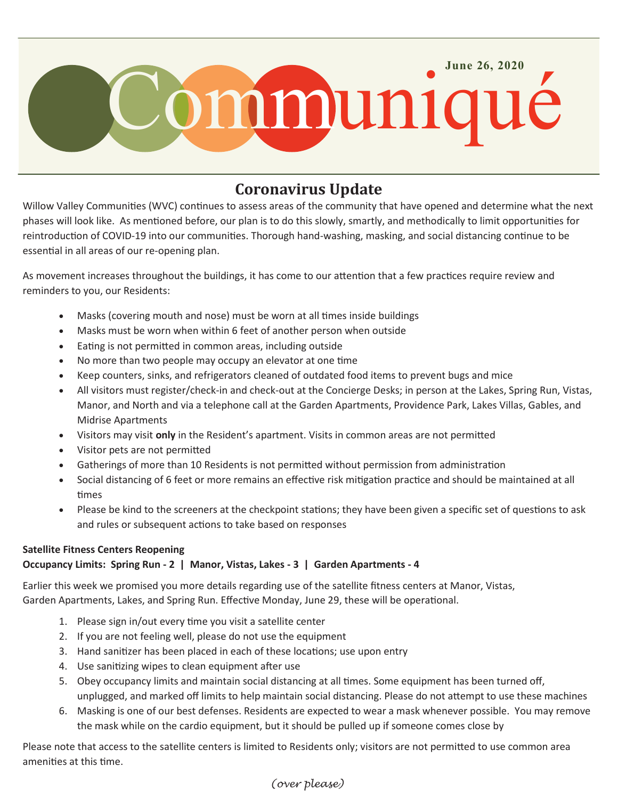

# **Coronavirus Update**

Willow Valley Communities (WVC) continues to assess areas of the community that have opened and determine what the next phases will look like. As mentioned before, our plan is to do this slowly, smartly, and methodically to limit opportunities for reintroduction of COVID-19 into our communities. Thorough hand-washing, masking, and social distancing continue to be essential in all areas of our re-opening plan.

As movement increases throughout the buildings, it has come to our attention that a few practices require review and reminders to you, our Residents:

- Masks (covering mouth and nose) must be worn at all times inside buildings
- Masks must be worn when within 6 feet of another person when outside
- Eating is not permitted in common areas, including outside
- No more than two people may occupy an elevator at one time
- Keep counters, sinks, and refrigerators cleaned of outdated food items to prevent bugs and mice
- All visitors must register/check-in and check-out at the Concierge Desks; in person at the Lakes, Spring Run, Vistas, Manor, and North and via a telephone call at the Garden Apartments, Providence Park, Lakes Villas, Gables, and Midrise Apartments
- Visitors may visit **only** in the Resident's apartment. Visits in common areas are not permitted
- Visitor pets are not permitted
- Gatherings of more than 10 Residents is not permitted without permission from administration
- Social distancing of 6 feet or more remains an effective risk mitigation practice and should be maintained at all times
- Please be kind to the screeners at the checkpoint stations; they have been given a specific set of questions to ask and rules or subsequent actions to take based on responses

### **Satellite Fitness Centers Reopening**

## **Occupancy Limits: Spring Run - 2 | Manor, Vistas, Lakes - 3 | Garden Apartments - 4**

Earlier this week we promised you more details regarding use of the satellite fitness centers at Manor, Vistas, Garden Apartments, Lakes, and Spring Run. Effective Monday, June 29, these will be operational.

- 1. Please sign in/out every time you visit a satellite center
- 2. If you are not feeling well, please do not use the equipment
- 3. Hand sanitizer has been placed in each of these locations; use upon entry
- 4. Use sanitizing wipes to clean equipment after use
- 5. Obey occupancy limits and maintain social distancing at all times. Some equipment has been turned off, unplugged, and marked off limits to help maintain social distancing. Please do not attempt to use these machines
- 6. Masking is one of our best defenses. Residents are expected to wear a mask whenever possible. You may remove the mask while on the cardio equipment, but it should be pulled up if someone comes close by

Please note that access to the satellite centers is limited to Residents only; visitors are not permitted to use common area amenities at this time.

### *(over please)*